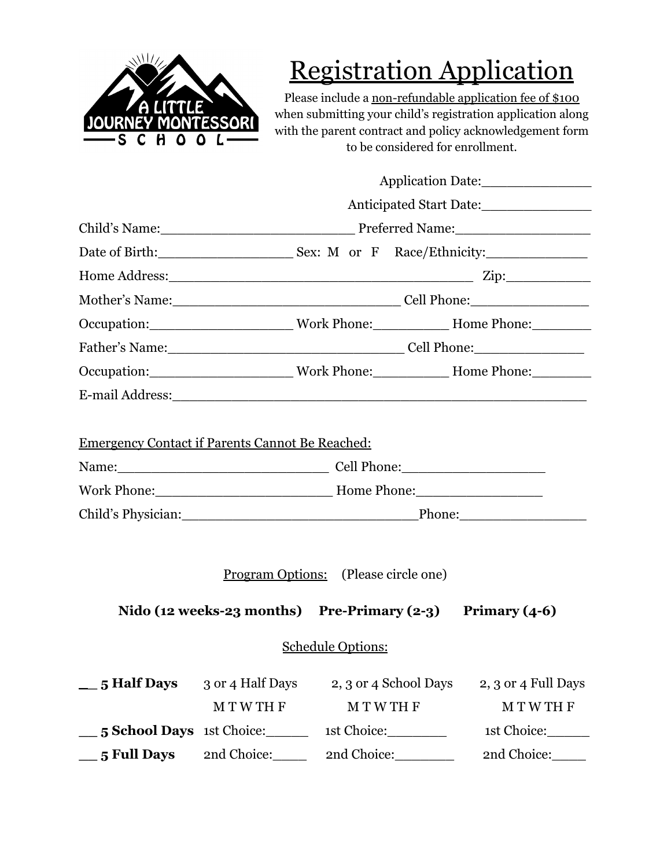

# Registration Application

Please include a non-refundable application fee of \$100 when submitting your child's registration application along with the parent contract and policy acknowledgement form to be considered for enrollment.

|                                             | Application Date:                                                                                                                             |               |                       |                                                                                                                                                                                                                                |  |  |  |
|---------------------------------------------|-----------------------------------------------------------------------------------------------------------------------------------------------|---------------|-----------------------|--------------------------------------------------------------------------------------------------------------------------------------------------------------------------------------------------------------------------------|--|--|--|
|                                             |                                                                                                                                               |               |                       |                                                                                                                                                                                                                                |  |  |  |
|                                             |                                                                                                                                               |               |                       |                                                                                                                                                                                                                                |  |  |  |
|                                             |                                                                                                                                               |               |                       | Date of Birth: Sex: M or F Race/Ethnicity:                                                                                                                                                                                     |  |  |  |
|                                             |                                                                                                                                               |               |                       | Home Address: Zip: Zip:                                                                                                                                                                                                        |  |  |  |
|                                             |                                                                                                                                               |               |                       |                                                                                                                                                                                                                                |  |  |  |
|                                             |                                                                                                                                               |               |                       | Occupation: Work Phone: Home Phone:                                                                                                                                                                                            |  |  |  |
|                                             | Father's Name: Cell Phone:                                                                                                                    |               |                       |                                                                                                                                                                                                                                |  |  |  |
|                                             |                                                                                                                                               |               |                       | Occupation: __________________________Work Phone: ____________Home Phone: ________                                                                                                                                             |  |  |  |
|                                             |                                                                                                                                               |               |                       | E-mail Address: Universe of the Second Second Second Second Second Second Second Second Second Second Second Second Second Second Second Second Second Second Second Second Second Second Second Second Second Second Second S |  |  |  |
|                                             | <b>Emergency Contact if Parents Cannot Be Reached:</b><br>Work Phone: More Phone: More Phone: More Phone:<br>Child's Physician: Phone: Phone: |               |                       |                                                                                                                                                                                                                                |  |  |  |
| <u>Program Options:</u> (Please circle one) |                                                                                                                                               |               |                       |                                                                                                                                                                                                                                |  |  |  |
|                                             | Nido (12 weeks-23 months) Pre-Primary (2-3) Primary (4-6)                                                                                     |               |                       |                                                                                                                                                                                                                                |  |  |  |
| <b>Schedule Options:</b>                    |                                                                                                                                               |               |                       |                                                                                                                                                                                                                                |  |  |  |
| $\_\_5$ Half Days $\_3$ or 4 Half Days      | <b>MTWTHF</b>                                                                                                                                 | <b>MTWTHF</b> | 2, 3 or 4 School Days | 2, 3 or 4 Full Days<br><b>MTWTHF</b>                                                                                                                                                                                           |  |  |  |
| 5 School Days 1st Choice:                   |                                                                                                                                               |               | 1st Choice:           | 1st Choice:                                                                                                                                                                                                                    |  |  |  |
| $\_\$ {5} Full Days                         | 2nd Choice:_____                                                                                                                              |               | 2nd Choice:_________  | 2nd Choice:                                                                                                                                                                                                                    |  |  |  |
|                                             |                                                                                                                                               |               |                       |                                                                                                                                                                                                                                |  |  |  |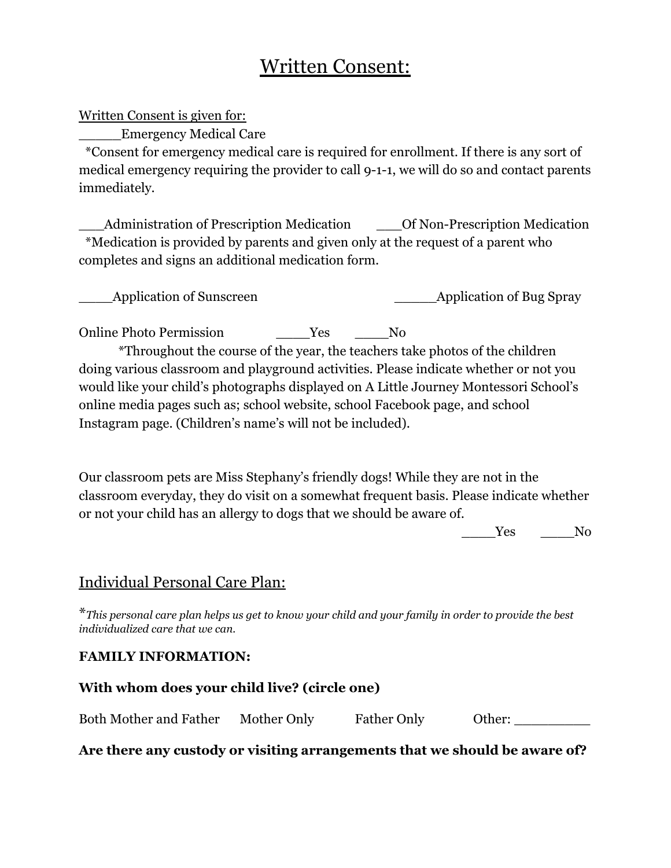# Written Consent:

Written Consent is given for:

\_\_\_\_\_Emergency Medical Care

\*Consent for emergency medical care is required for enrollment. If there is any sort of medical emergency requiring the provider to call 9-1-1, we will do so and contact parents immediately.

Administration of Prescription Medication  $\qquad$  Of Non-Prescription Medication \*Medication is provided by parents and given only at the request of a parent who completes and signs an additional medication form.

| Application of Sunscreen | _Application of Bug Spray |
|--------------------------|---------------------------|
|                          |                           |

Online Photo Permission Tes No

\*Throughout the course of the year, the teachers take photos of the children doing various classroom and playground activities. Please indicate whether or not you would like your child's photographs displayed on A Little Journey Montessori School's online media pages such as; school website, school Facebook page, and school Instagram page. (Children's name's will not be included).

Our classroom pets are Miss Stephany's friendly dogs! While they are not in the classroom everyday, they do visit on a somewhat frequent basis. Please indicate whether or not your child has an allergy to dogs that we should be aware of.

Yes No

# Individual Personal Care Plan:

\*This personal care plan helps us get to know your child and your family in order to provide the best *individualized care that we can.*

#### **FAMILY INFORMATION:**

| With whom does your child live? (circle one) |             |                    |        |  |  |  |  |
|----------------------------------------------|-------------|--------------------|--------|--|--|--|--|
| Both Mother and Father                       | Mother Only | <b>Father Only</b> | Other: |  |  |  |  |

**Are there any custody or visiting arrangements that we should be aware of?**